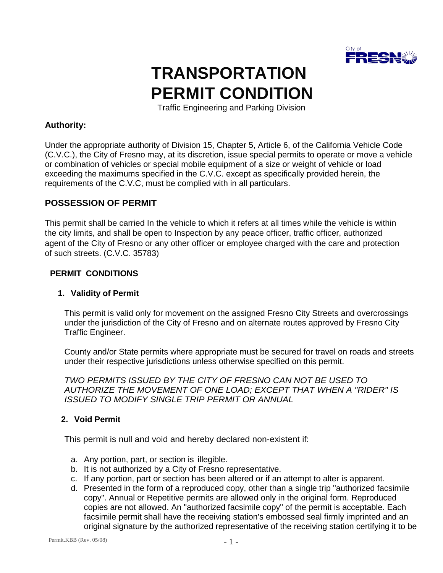

# **TRANSPORTATION PERMIT CONDITION**

Traffic Engineering and Parking Division

## **Authority:**

Under the appropriate authority of Division 15, Chapter 5, Article 6, of the California Vehicle Code (C.V.C.), the City of Fresno may, at its discretion, issue special permits to operate or move a vehicle or combination of vehicles or special mobile equipment of a size or weight of vehicle or load exceeding the maximums specified in the C.V.C. except as specifically provided herein, the requirements of the C.V.C, must be complied with in all particulars.

## **POSSESSION OF PERMIT**

This permit shall be carried In the vehicle to which it refers at all times while the vehicle is within the city limits, and shall be open to Inspection by any peace officer, traffic officer, authorized agent of the City of Fresno or any other officer or employee charged with the care and protection of such streets. (C.V.C. 35783)

#### **PERMIT CONDITIONS**

#### **1. Validity of Permit**

This permit is valid only for movement on the assigned Fresno City Streets and overcrossings under the jurisdiction of the City of Fresno and on alternate routes approved by Fresno City Traffic Engineer.

County and/or State permits where appropriate must be secured for travel on roads and streets under their respective jurisdictions unless otherwise specified on this permit.

*TWO PERMITS ISSUED BY THE CITY OF FRESNO CAN NOT BE USED TO AUTHORIZE THE MOVEMENT OF ONE LOAD; EXCEPT THAT WHEN A "RIDER" IS ISSUED TO MODIFY SINGLE TRIP PERMIT OR ANNUAL*

#### **2. Void Permit**

This permit is null and void and hereby declared non-existent if:

- a. Any portion, part, or section is illegible.
- b. It is not authorized by a City of Fresno representative.
- c. If any portion, part or section has been altered or if an attempt to alter is apparent.
- d. Presented in the form of a reproduced copy, other than a single trip "authorized facsimile copy". Annual or Repetitive permits are allowed only in the original form. Reproduced copies are not allowed. An "authorized facsimile copy" of the permit is acceptable. Each facsimile permit shall have the receiving station's embossed seal firmly imprinted and an original signature by the authorized representative of the receiving station certifying it to be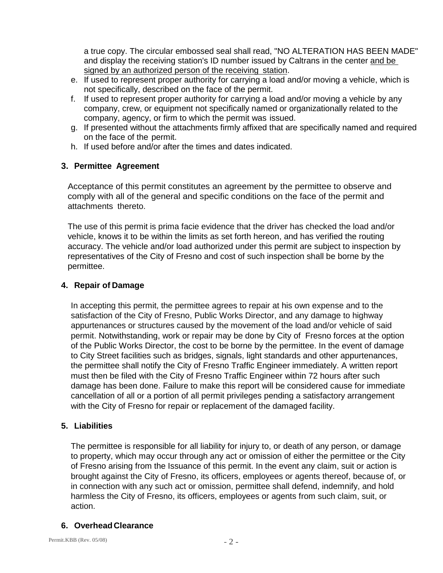a true copy. The circular embossed seal shall read, "NO ALTERATION HAS BEEN MADE" and display the receiving station's ID number issued by Caltrans in the center and be signed by an authorized person of the receiving station.

- e. If used to represent proper authority for carrying a load and/or moving a vehicle, which is not specifically, described on the face of the permit.
- f. If used to represent proper authority for carrying a load and/or moving a vehicle by any company, crew, or equipment not specifically named or organizationally related to the company, agency, or firm to which the permit was issued.
- g. If presented without the attachments firmly affixed that are specifically named and required on the face of the permit.
- h. If used before and/or after the times and dates indicated.

# **3. Permittee Agreement**

Acceptance of this permit constitutes an agreement by the permittee to observe and comply with all of the general and specific conditions on the face of the permit and attachments thereto.

The use of this permit is prima facie evidence that the driver has checked the load and/or vehicle, knows it to be within the limits as set forth hereon, and has verified the routing accuracy. The vehicle and/or load authorized under this permit are subject to inspection by representatives of the City of Fresno and cost of such inspection shall be borne by the permittee.

## **4. Repair of Damage**

In accepting this permit, the permittee agrees to repair at his own expense and to the satisfaction of the City of Fresno, Public Works Director, and any damage to highway appurtenances or structures caused by the movement of the load and/or vehicle of said permit. Notwithstanding, work or repair may be done by City of Fresno forces at the option of the Public Works Director, the cost to be borne by the permittee. In the event of damage to City Street facilities such as bridges, signals, light standards and other appurtenances, the permittee shall notify the City of Fresno Traffic Engineer immediately. A written report must then be filed with the City of Fresno Traffic Engineer within 72 hours after such damage has been done. Failure to make this report will be considered cause for immediate cancellation of all or a portion of all permit privileges pending a satisfactory arrangement with the City of Fresno for repair or replacement of the damaged facility.

# **5. Liabilities**

The permittee is responsible for all liability for injury to, or death of any person, or damage to property, which may occur through any act or omission of either the permittee or the City of Fresno arising from the Issuance of this permit. In the event any claim, suit or action is brought against the City of Fresno, its officers, employees or agents thereof, because of, or in connection with any such act or omission, permittee shall defend, indemnify, and hold harmless the City of Fresno, its officers, employees or agents from such claim, suit, or action.

# **6. Overhead Clearance**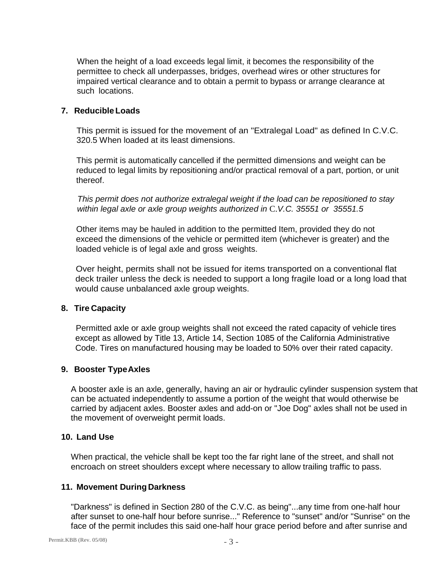When the height of a load exceeds legal limit, it becomes the responsibility of the permittee to check all underpasses, bridges, overhead wires or other structures for impaired vertical clearance and to obtain a permit to bypass or arrange clearance at such locations.

#### **7. Reducible Loads**

This permit is issued for the movement of an "Extralegal Load" as defined In C.V.C. 320.5 When loaded at its least dimensions.

This permit is automatically cancelled if the permitted dimensions and weight can be reduced to legal limits by repositioning and/or practical removal of a part, portion, or unit thereof.

*This permit does not authorize extralegal weight if the load can be repositioned to stay within legal axle or axle group weights authorized in* C.*V.C. 35551 or 35551.5*

Other items may be hauled in addition to the permitted Item, provided they do not exceed the dimensions of the vehicle or permitted item (whichever is greater) and the loaded vehicle is of legal axle and gross weights.

Over height, permits shall not be issued for items transported on a conventional flat deck trailer unless the deck is needed to support a long fragile load or a long load that would cause unbalanced axle group weights.

#### **8. Tire Capacity**

Permitted axle or axle group weights shall not exceed the rated capacity of vehicle tires except as allowed by Title 13, Article 14, Section 1085 of the California Administrative Code. Tires on manufactured housing may be loaded to 50% over their rated capacity.

#### **9. Booster TypeAxles**

A booster axle is an axle, generally, having an air or hydraulic cylinder suspension system that can be actuated independently to assume a portion of the weight that would otherwise be carried by adjacent axles. Booster axles and add-on or "Joe Dog" axles shall not be used in the movement of overweight permit loads.

#### **10. Land Use**

When practical, the vehicle shall be kept too the far right lane of the street, and shall not encroach on street shoulders except where necessary to allow trailing traffic to pass.

#### **11. Movement During Darkness**

"Darkness" is defined in Section 280 of the C.V.C. as being"...any time from one-half hour after sunset to one-half hour before sunrise..." Reference to "sunset" and/or "Sunrise" on the face of the permit includes this said one-half hour grace period before and after sunrise and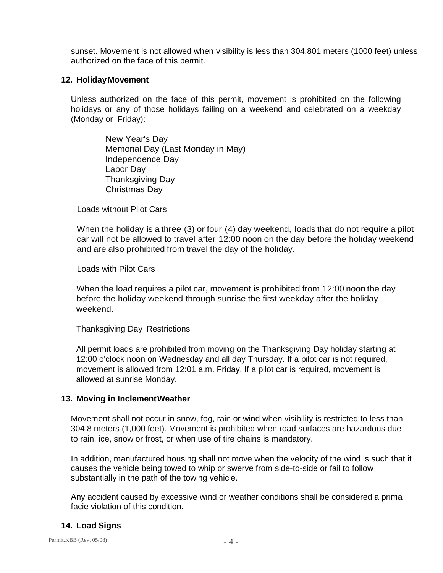sunset. Movement is not allowed when visibility is less than 304.801 meters (1000 feet) unless authorized on the face of this permit.

#### **12. HolidayMovement**

Unless authorized on the face of this permit, movement is prohibited on the following holidays or any of those holidays failing on a weekend and celebrated on a weekday (Monday or Friday):

> New Year's Day Memorial Day (Last Monday in May) Independence Day Labor Day Thanksgiving Day Christmas Day

Loads without Pilot Cars

When the holiday is a three (3) or four (4) day weekend, loads that do not require a pilot car will not be allowed to travel after 12:00 noon on the day before the holiday weekend and are also prohibited from travel the day of the holiday.

Loads with Pilot Cars

When the load requires a pilot car, movement is prohibited from 12:00 noon the day before the holiday weekend through sunrise the first weekday after the holiday weekend.

Thanksgiving Day Restrictions

All permit loads are prohibited from moving on the Thanksgiving Day holiday starting at 12:00 o'clock noon on Wednesday and all day Thursday. If a pilot car is not required, movement is allowed from 12:01 a.m. Friday. If a pilot car is required, movement is allowed at sunrise Monday.

# **13. Moving in InclementWeather**

Movement shall not occur in snow, fog, rain or wind when visibility is restricted to less than 304.8 meters (1,000 feet). Movement is prohibited when road surfaces are hazardous due to rain, ice, snow or frost, or when use of tire chains is mandatory.

In addition, manufactured housing shall not move when the velocity of the wind is such that it causes the vehicle being towed to whip or swerve from side-to-side or fail to follow substantially in the path of the towing vehicle.

Any accident caused by excessive wind or weather conditions shall be considered a prima facie violation of this condition.

# **14. Load Signs**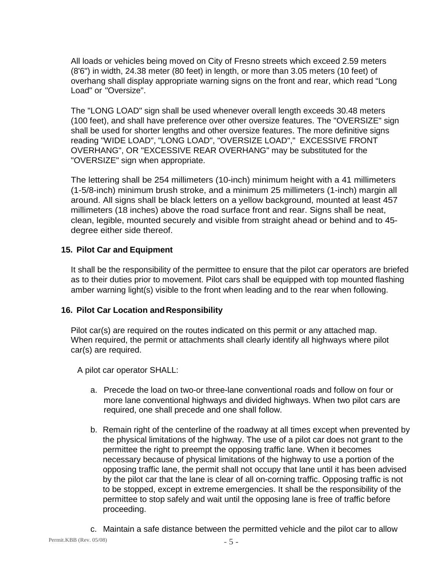All loads or vehicles being moved on City of Fresno streets which exceed 2.59 meters (8'6") in width, 24.38 meter (80 feet) in length, or more than 3.05 meters (10 feet) of overhang shall display appropriate warning signs on the front and rear, which read "Long Load" or "Oversize".

The "LONG LOAD" sign shall be used whenever overall length exceeds 30.48 meters (100 feet), and shall have preference over other oversize features. The "OVERSIZE" sign shall be used for shorter lengths and other oversize features. The more definitive signs reading "WIDE LOAD", "LONG LOAD", "OVERSIZE LOAD"," EXCESSIVE FRONT OVERHANG", OR "EXCESSIVE REAR OVERHANG" may be substituted for the "OVERSIZE" sign when appropriate.

The lettering shall be 254 millimeters (10-inch) minimum height with a 41 millimeters (1-5/8-inch) minimum brush stroke, and a minimum 25 millimeters (1-inch) margin all around. All signs shall be black letters on a yellow background, mounted at least 457 millimeters (18 inches) above the road surface front and rear. Signs shall be neat, clean, legible, mounted securely and visible from straight ahead or behind and to 45 degree either side thereof.

## **15. Pilot Car and Equipment**

It shall be the responsibility of the permittee to ensure that the pilot car operators are briefed as to their duties prior to movement. Pilot cars shall be equipped with top mounted flashing amber warning light(s) visible to the front when leading and to the rear when following.

#### **16. Pilot Car Location andResponsibility**

Pilot car(s) are required on the routes indicated on this permit or any attached map. When required, the permit or attachments shall clearly identify all highways where pilot car(s) are required.

A pilot car operator SHALL:

- a. Precede the load on two-or three-lane conventional roads and follow on four or more lane conventional highways and divided highways. When two pilot cars are required, one shall precede and one shall follow.
- b. Remain right of the centerline of the roadway at all times except when prevented by the physical limitations of the highway. The use of a pilot car does not grant to the permittee the right to preempt the opposing traffic lane. When it becomes necessary because of physical limitations of the highway to use a portion of the opposing traffic lane, the permit shall not occupy that lane until it has been advised by the pilot car that the lane is clear of all on-corning traffic. Opposing traffic is not to be stopped, except in extreme emergencies. It shall be the responsibility of the permittee to stop safely and wait until the opposing lane is free of traffic before proceeding.
- c. Maintain a safe distance between the permitted vehicle and the pilot car to allow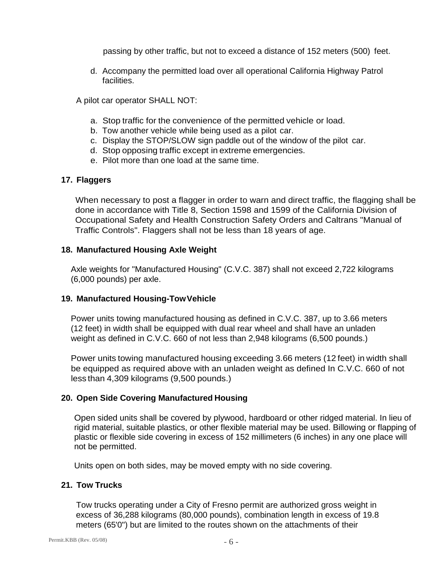passing by other traffic, but not to exceed a distance of 152 meters (500) feet.

d. Accompany the permitted load over all operational California Highway Patrol facilities.

A pilot car operator SHALL NOT:

- a. Stop traffic for the convenience of the permitted vehicle or load.
- b. Tow another vehicle while being used as a pilot car.
- c. Display the STOP/SLOW sign paddle out of the window of the pilot car.
- d. Stop opposing traffic except in extreme emergencies.
- e. Pilot more than one load at the same time.

## **17. Flaggers**

When necessary to post a flagger in order to warn and direct traffic, the flagging shall be done in accordance with Title 8, Section 1598 and 1599 of the California Division of Occupational Safety and Health Construction Safety Orders and Caltrans "Manual of Traffic Controls". Flaggers shall not be less than 18 years of age.

#### **18. Manufactured Housing Axle Weight**

Axle weights for "Manufactured Housing" (C.V.C. 387) shall not exceed 2,722 kilograms (6,000 pounds) per axle.

#### **19. Manufactured Housing-TowVehicle**

Power units towing manufactured housing as defined in C.V.C. 387, up to 3.66 meters (12 feet) in width shall be equipped with dual rear wheel and shall have an unladen weight as defined in C.V.C. 660 of not less than 2,948 kilograms (6,500 pounds.)

Power units towing manufactured housing exceeding 3.66 meters (12 feet) in width shall be equipped as required above with an unladen weight as defined In C.V.C. 660 of not less than 4,309 kilograms (9,500 pounds.)

# **20. Open Side Covering Manufactured Housing**

Open sided units shall be covered by plywood, hardboard or other ridged material. In lieu of rigid material, suitable plastics, or other flexible material may be used. Billowing or flapping of plastic or flexible side covering in excess of 152 millimeters (6 inches) in any one place will not be permitted.

Units open on both sides, may be moved empty with no side covering.

#### **21. Tow Trucks**

Tow trucks operating under a City of Fresno permit are authorized gross weight in excess of 36,288 kilograms (80,000 pounds), combination length in excess of 19.8 meters (65'0") but are limited to the routes shown on the attachments of their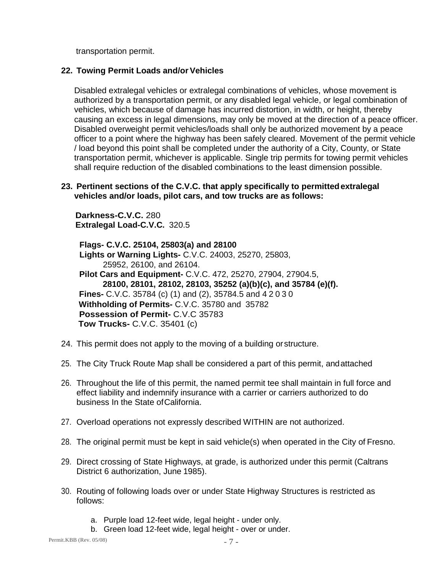transportation permit.

# **22. Towing Permit Loads and/or Vehicles**

Disabled extralegal vehicles or extralegal combinations of vehicles, whose movement is authorized by a transportation permit, or any disabled legal vehicle, or legal combination of vehicles, which because of damage has incurred distortion, in width, or height, thereby causing an excess in legal dimensions, may only be moved at the direction of a peace officer. Disabled overweight permit vehicles/loads shall only be authorized movement by a peace officer to a point where the highway has been safely cleared. Movement of the permit vehicle / load beyond this point shall be completed under the authority of a City, County, or State transportation permit, whichever is applicable. Single trip permits for towing permit vehicles shall require reduction of the disabled combinations to the least dimension possible.

#### **23. Pertinent sections of the C.V.C. that apply specifically to permittedextralegal vehicles and/or loads, pilot cars, and tow trucks are as follows:**

**Darkness-C.V.C.** 280 **Extralegal Load-C.V.C.** 320.5

**Flags- C.V.C. 25104, 25803(a) and 28100 Lights or Warning Lights-** C.V.C. 24003, 25270, 25803, 25952, 26100, and 26104. **Pilot Cars and Equipment-** C.V.C. 472, 25270, 27904, 27904.5, **28100, 28101, 28102, 28103, 35252 (a)(b)(c), and 35784 (e)(f). Fines-** C.V.C. 35784 (c) (1) and (2), 35784.5 and 42030 **Withholding of Permits-** C.V.C. 35780 and 35782 **Possession of Permit-** C.V.C 35783 **Tow Trucks-** C.V.C. 35401 (c)

- 24. This permit does not apply to the moving of a building or structure.
- 25. The City Truck Route Map shall be considered a part of this permit, andattached
- 26. Throughout the life of this permit, the named permit tee shall maintain in full force and effect liability and indemnify insurance with a carrier or carriers authorized to do business In the State ofCalifornia.
- 27. Overload operations not expressly described WITHIN are not authorized.
- 28. The original permit must be kept in said vehicle(s) when operated in the City of Fresno.
- 29. Direct crossing of State Highways, at grade, is authorized under this permit (Caltrans District 6 authorization, June 1985).
- 30. Routing of following loads over or under State Highway Structures is restricted as follows:
	- a. Purple load 12-feet wide, legal height under only.
	- b. Green load 12-feet wide, legal height over or under.